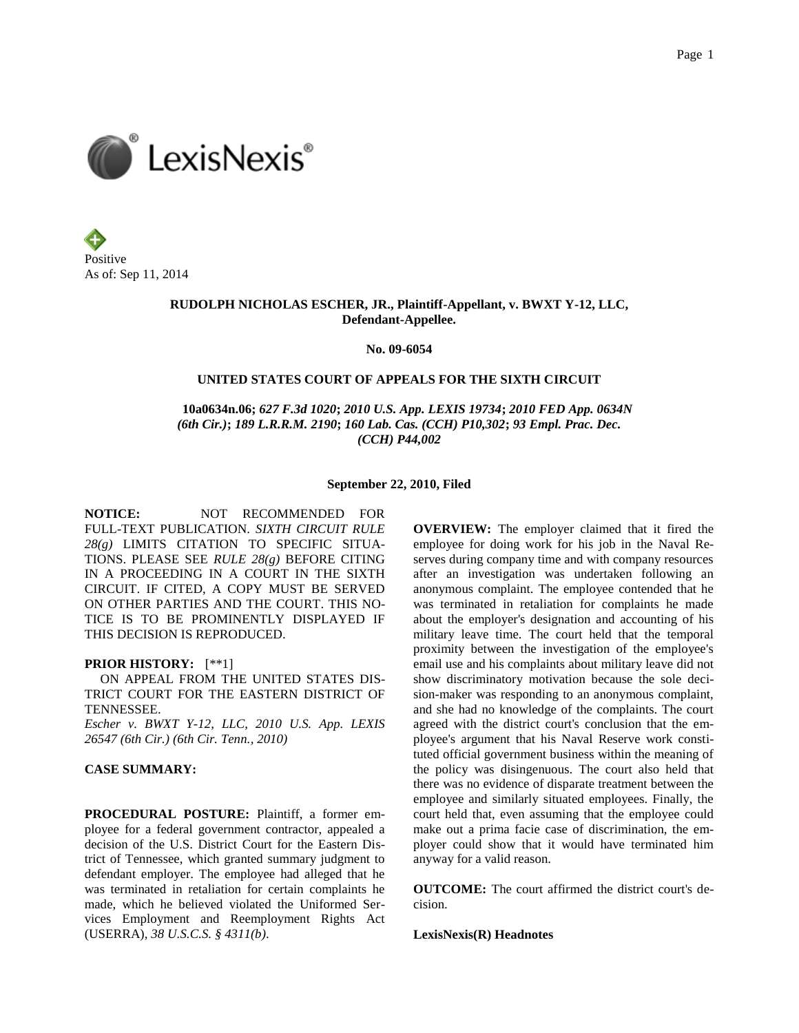Positive As of: Sep 11, 2014

# **RUDOLPH NICHOLAS ESCHER, JR., Plaintiff-Appellant, v. BWXT Y-12, LLC, Defendant-Appellee.**

**No. 09-6054**

# **UNITED STATES COURT OF APPEALS FOR THE SIXTH CIRCUIT**

 **10a0634n.06;** *627 F.3d 1020***;** *2010 U.S. App. LEXIS 19734***;** *2010 FED App. 0634N (6th Cir.)***;** *189 L.R.R.M. 2190***;** *160 Lab. Cas. (CCH) P10,302***;** *93 Empl. Prac. Dec. (CCH) P44,002*

#### **September 22, 2010, Filed**

**NOTICE:** NOT RECOMMENDED FOR FULL-TEXT PUBLICATION. *SIXTH CIRCUIT RULE 28(g)* LIMITS CITATION TO SPECIFIC SITUA-TIONS. PLEASE SEE *RULE 28(g)* BEFORE CITING IN A PROCEEDING IN A COURT IN THE SIXTH CIRCUIT. IF CITED, A COPY MUST BE SERVED ON OTHER PARTIES AND THE COURT. THIS NO-TICE IS TO BE PROMINENTLY DISPLAYED IF THIS DECISION IS REPRODUCED.

### **PRIOR HISTORY:** [\*\*1]

 ON APPEAL FROM THE UNITED STATES DIS-TRICT COURT FOR THE EASTERN DISTRICT OF TENNESSEE.

*Escher v. BWXT Y-12, LLC, 2010 U.S. App. LEXIS 26547 (6th Cir.) (6th Cir. Tenn., 2010)*

# **CASE SUMMARY:**

**PROCEDURAL POSTURE:** Plaintiff, a former employee for a federal government contractor, appealed a decision of the U.S. District Court for the Eastern District of Tennessee, which granted summary judgment to defendant employer. The employee had alleged that he was terminated in retaliation for certain complaints he made, which he believed violated the Uniformed Services Employment and Reemployment Rights Act (USERRA), *38 U.S.C.S. § 4311(b)*.

**OVERVIEW:** The employer claimed that it fired the employee for doing work for his job in the Naval Reserves during company time and with company resources after an investigation was undertaken following an anonymous complaint. The employee contended that he was terminated in retaliation for complaints he made about the employer's designation and accounting of his military leave time. The court held that the temporal proximity between the investigation of the employee's email use and his complaints about military leave did not show discriminatory motivation because the sole decision-maker was responding to an anonymous complaint, and she had no knowledge of the complaints. The court agreed with the district court's conclusion that the employee's argument that his Naval Reserve work constituted official government business within the meaning of the policy was disingenuous. The court also held that there was no evidence of disparate treatment between the employee and similarly situated employees. Finally, the court held that, even assuming that the employee could make out a prima facie case of discrimination, the employer could show that it would have terminated him anyway for a valid reason.

**OUTCOME:** The court affirmed the district court's decision.

**LexisNexis(R) Headnotes**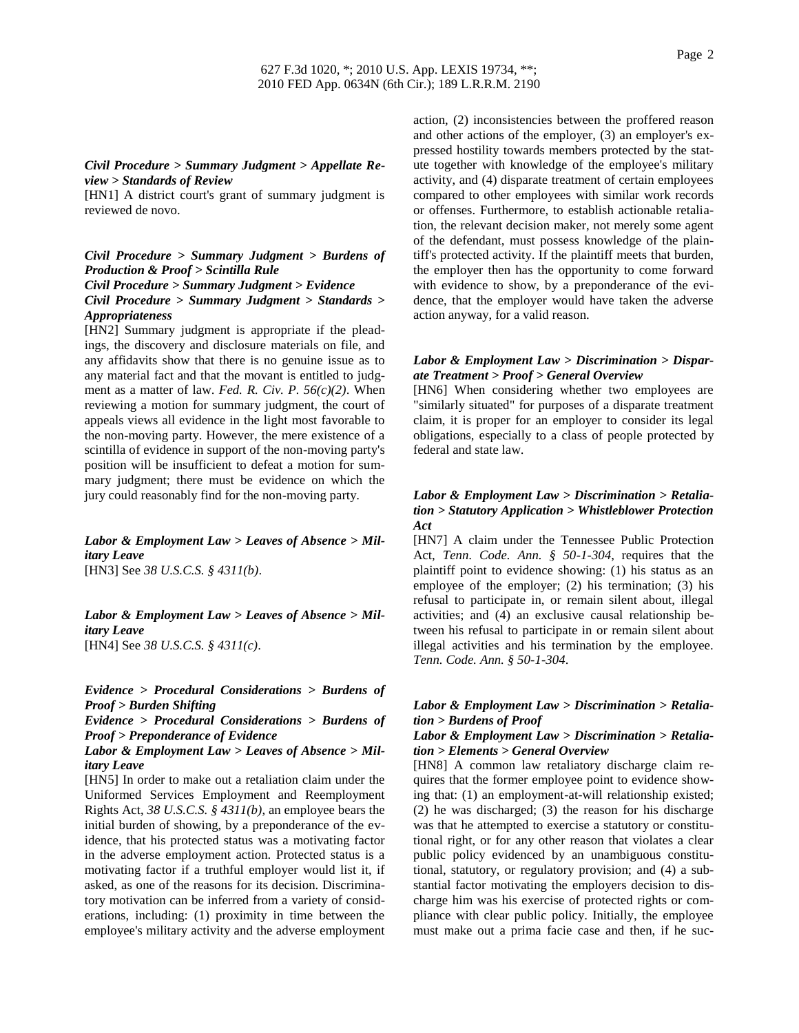# *Civil Procedure > Summary Judgment > Appellate Review > Standards of Review*

[HN1] A district court's grant of summary judgment is reviewed de novo.

# *Civil Procedure > Summary Judgment > Burdens of Production & Proof > Scintilla Rule Civil Procedure > Summary Judgment > Evidence Civil Procedure > Summary Judgment > Standards > Appropriateness*

[HN2] Summary judgment is appropriate if the pleadings, the discovery and disclosure materials on file, and any affidavits show that there is no genuine issue as to any material fact and that the movant is entitled to judgment as a matter of law. *Fed. R. Civ. P. 56(c)(2)*. When reviewing a motion for summary judgment, the court of appeals views all evidence in the light most favorable to the non-moving party. However, the mere existence of a scintilla of evidence in support of the non-moving party's position will be insufficient to defeat a motion for summary judgment; there must be evidence on which the jury could reasonably find for the non-moving party.

# *Labor & Employment Law > Leaves of Absence > Military Leave*

[HN3] See *38 U.S.C.S. § 4311(b)*.

*Labor & Employment Law > Leaves of Absence > Military Leave* [HN4] See *38 U.S.C.S. § 4311(c)*.

# *Evidence > Procedural Considerations > Burdens of Proof > Burden Shifting*

*Evidence > Procedural Considerations > Burdens of Proof > Preponderance of Evidence*

# *Labor & Employment Law > Leaves of Absence > Military Leave*

[HN5] In order to make out a retaliation claim under the Uniformed Services Employment and Reemployment Rights Act, *38 U.S.C.S. § 4311(b)*, an employee bears the initial burden of showing, by a preponderance of the evidence, that his protected status was a motivating factor in the adverse employment action. Protected status is a motivating factor if a truthful employer would list it, if asked, as one of the reasons for its decision. Discriminatory motivation can be inferred from a variety of considerations, including: (1) proximity in time between the employee's military activity and the adverse employment action, (2) inconsistencies between the proffered reason and other actions of the employer, (3) an employer's expressed hostility towards members protected by the statute together with knowledge of the employee's military activity, and (4) disparate treatment of certain employees compared to other employees with similar work records or offenses. Furthermore, to establish actionable retaliation, the relevant decision maker, not merely some agent of the defendant, must possess knowledge of the plaintiff's protected activity. If the plaintiff meets that burden, the employer then has the opportunity to come forward with evidence to show, by a preponderance of the evidence, that the employer would have taken the adverse action anyway, for a valid reason.

# *Labor & Employment Law > Discrimination > Disparate Treatment > Proof > General Overview*

[HN6] When considering whether two employees are "similarly situated" for purposes of a disparate treatment claim, it is proper for an employer to consider its legal obligations, especially to a class of people protected by federal and state law.

# *Labor & Employment Law > Discrimination > Retaliation > Statutory Application > Whistleblower Protection Act*

[HN7] A claim under the Tennessee Public Protection Act, *Tenn. Code. Ann. § 50-1-304*, requires that the plaintiff point to evidence showing: (1) his status as an employee of the employer; (2) his termination; (3) his refusal to participate in, or remain silent about, illegal activities; and (4) an exclusive causal relationship between his refusal to participate in or remain silent about illegal activities and his termination by the employee. *Tenn. Code. Ann. § 50-1-304*.

# *Labor & Employment Law > Discrimination > Retaliation > Burdens of Proof*

### *Labor & Employment Law > Discrimination > Retaliation > Elements > General Overview*

[HN8] A common law retaliatory discharge claim requires that the former employee point to evidence showing that: (1) an employment-at-will relationship existed; (2) he was discharged; (3) the reason for his discharge was that he attempted to exercise a statutory or constitutional right, or for any other reason that violates a clear public policy evidenced by an unambiguous constitutional, statutory, or regulatory provision; and (4) a substantial factor motivating the employers decision to discharge him was his exercise of protected rights or compliance with clear public policy. Initially, the employee must make out a prima facie case and then, if he suc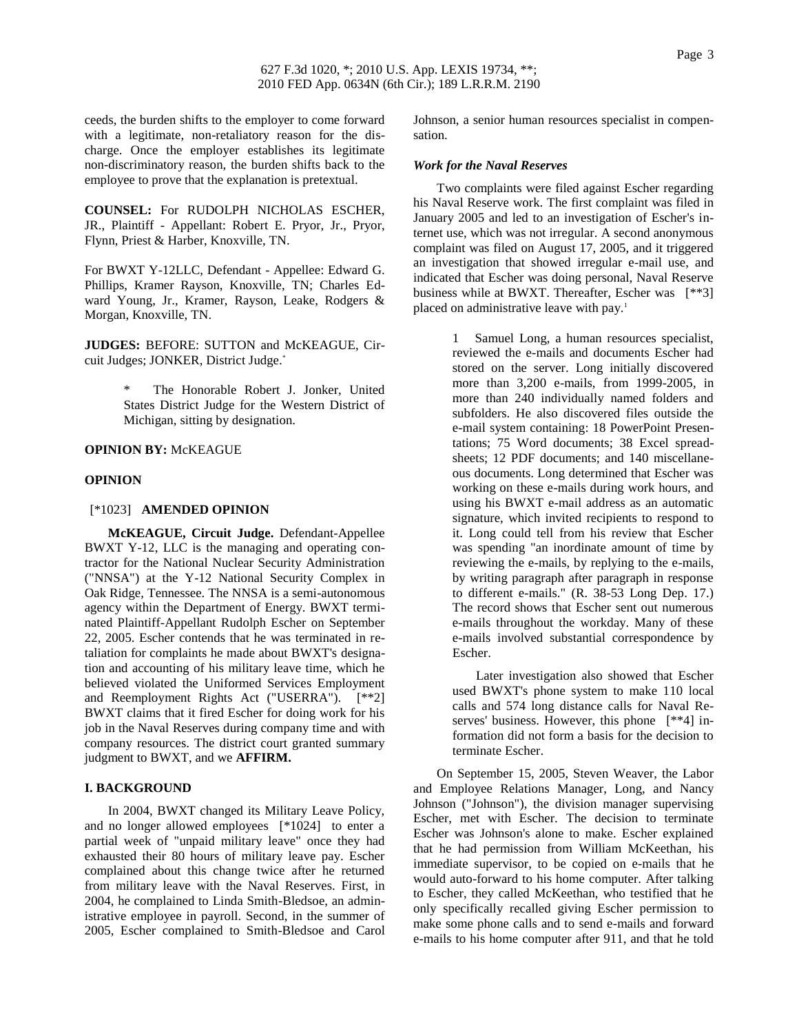ceeds, the burden shifts to the employer to come forward with a legitimate, non-retaliatory reason for the discharge. Once the employer establishes its legitimate non-discriminatory reason, the burden shifts back to the employee to prove that the explanation is pretextual.

**COUNSEL:** For RUDOLPH NICHOLAS ESCHER, JR., Plaintiff - Appellant: Robert E. Pryor, Jr., Pryor, Flynn, Priest & Harber, Knoxville, TN.

For BWXT Y-12LLC, Defendant - Appellee: Edward G. Phillips, Kramer Rayson, Knoxville, TN; Charles Edward Young, Jr., Kramer, Rayson, Leake, Rodgers & Morgan, Knoxville, TN.

**JUDGES:** BEFORE: SUTTON and McKEAGUE, Circuit Judges; JONKER, District Judge.\*

> The Honorable Robert J. Jonker, United States District Judge for the Western District of Michigan, sitting by designation.

### **OPINION BY:** McKEAGUE

### **OPINION**

# [\*1023] **AMENDED OPINION**

**McKEAGUE, Circuit Judge.** Defendant-Appellee BWXT Y-12, LLC is the managing and operating contractor for the National Nuclear Security Administration ("NNSA") at the Y-12 National Security Complex in Oak Ridge, Tennessee. The NNSA is a semi-autonomous agency within the Department of Energy. BWXT terminated Plaintiff-Appellant Rudolph Escher on September 22, 2005. Escher contends that he was terminated in retaliation for complaints he made about BWXT's designation and accounting of his military leave time, which he believed violated the Uniformed Services Employment and Reemployment Rights Act ("USERRA"). [\*\*2] BWXT claims that it fired Escher for doing work for his job in the Naval Reserves during company time and with company resources. The district court granted summary judgment to BWXT, and we **AFFIRM.**

#### **I. BACKGROUND**

In 2004, BWXT changed its Military Leave Policy, and no longer allowed employees [\*1024] to enter a partial week of "unpaid military leave" once they had exhausted their 80 hours of military leave pay. Escher complained about this change twice after he returned from military leave with the Naval Reserves. First, in 2004, he complained to Linda Smith-Bledsoe, an administrative employee in payroll. Second, in the summer of 2005, Escher complained to Smith-Bledsoe and Carol

Johnson, a senior human resources specialist in compensation.

#### *Work for the Naval Reserves*

Two complaints were filed against Escher regarding his Naval Reserve work. The first complaint was filed in January 2005 and led to an investigation of Escher's internet use, which was not irregular. A second anonymous complaint was filed on August 17, 2005, and it triggered an investigation that showed irregular e-mail use, and indicated that Escher was doing personal, Naval Reserve business while at BWXT. Thereafter, Escher was [\*\*3] placed on administrative leave with pay.<sup>1</sup>

> 1 Samuel Long, a human resources specialist, reviewed the e-mails and documents Escher had stored on the server. Long initially discovered more than 3,200 e-mails, from 1999-2005, in more than 240 individually named folders and subfolders. He also discovered files outside the e-mail system containing: 18 PowerPoint Presentations; 75 Word documents; 38 Excel spreadsheets; 12 PDF documents; and 140 miscellaneous documents. Long determined that Escher was working on these e-mails during work hours, and using his BWXT e-mail address as an automatic signature, which invited recipients to respond to it. Long could tell from his review that Escher was spending "an inordinate amount of time by reviewing the e-mails, by replying to the e-mails, by writing paragraph after paragraph in response to different e-mails." (R. 38-53 Long Dep. 17.) The record shows that Escher sent out numerous e-mails throughout the workday. Many of these e-mails involved substantial correspondence by Escher.

> Later investigation also showed that Escher used BWXT's phone system to make 110 local calls and 574 long distance calls for Naval Reserves' business. However, this phone [\*\*4] information did not form a basis for the decision to terminate Escher.

On September 15, 2005, Steven Weaver, the Labor and Employee Relations Manager, Long, and Nancy Johnson ("Johnson"), the division manager supervising Escher, met with Escher. The decision to terminate Escher was Johnson's alone to make. Escher explained that he had permission from William McKeethan, his immediate supervisor, to be copied on e-mails that he would auto-forward to his home computer. After talking to Escher, they called McKeethan, who testified that he only specifically recalled giving Escher permission to make some phone calls and to send e-mails and forward e-mails to his home computer after 911, and that he told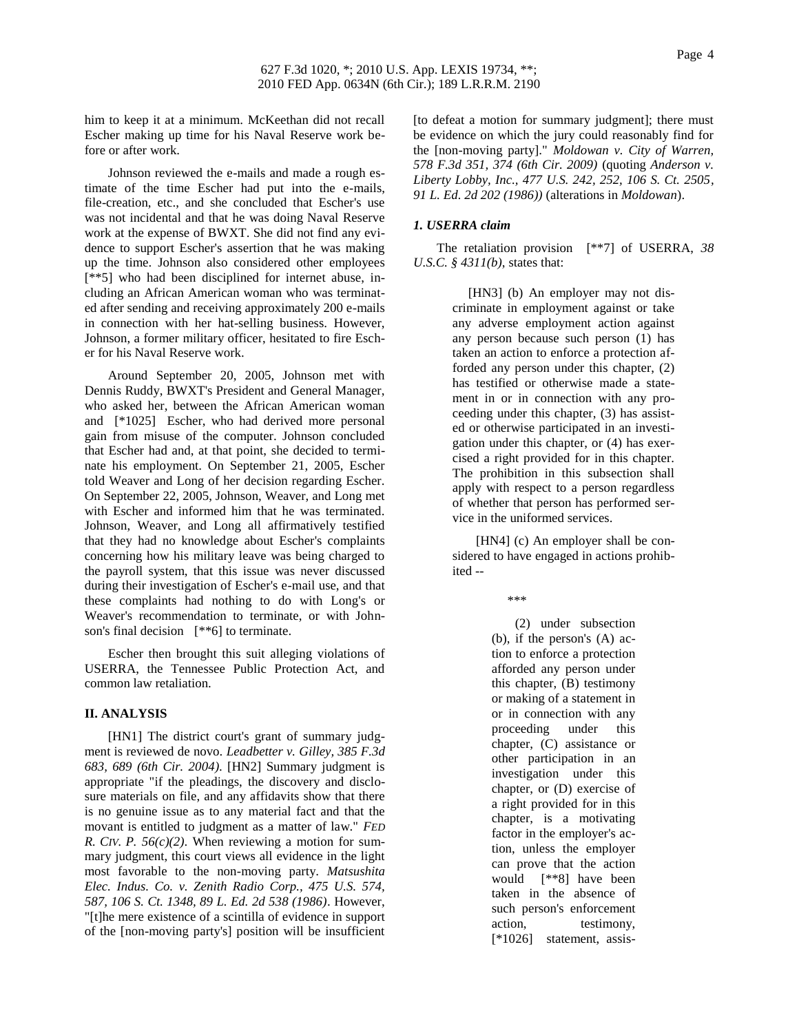him to keep it at a minimum. McKeethan did not recall Escher making up time for his Naval Reserve work before or after work.

Johnson reviewed the e-mails and made a rough estimate of the time Escher had put into the e-mails, file-creation, etc., and she concluded that Escher's use was not incidental and that he was doing Naval Reserve work at the expense of BWXT. She did not find any evidence to support Escher's assertion that he was making up the time. Johnson also considered other employees [\*\*5] who had been disciplined for internet abuse, including an African American woman who was terminated after sending and receiving approximately 200 e-mails in connection with her hat-selling business. However, Johnson, a former military officer, hesitated to fire Escher for his Naval Reserve work.

Around September 20, 2005, Johnson met with Dennis Ruddy, BWXT's President and General Manager, who asked her, between the African American woman and [\*1025] Escher, who had derived more personal gain from misuse of the computer. Johnson concluded that Escher had and, at that point, she decided to terminate his employment. On September 21, 2005, Escher told Weaver and Long of her decision regarding Escher. On September 22, 2005, Johnson, Weaver, and Long met with Escher and informed him that he was terminated. Johnson, Weaver, and Long all affirmatively testified that they had no knowledge about Escher's complaints concerning how his military leave was being charged to the payroll system, that this issue was never discussed during their investigation of Escher's e-mail use, and that these complaints had nothing to do with Long's or Weaver's recommendation to terminate, or with Johnson's final decision [\*\*6] to terminate.

Escher then brought this suit alleging violations of USERRA, the Tennessee Public Protection Act, and common law retaliation.

# **II. ANALYSIS**

[HN1] The district court's grant of summary judgment is reviewed de novo. *Leadbetter v. Gilley, 385 F.3d 683, 689 (6th Cir. 2004)*. [HN2] Summary judgment is appropriate "if the pleadings, the discovery and disclosure materials on file, and any affidavits show that there is no genuine issue as to any material fact and that the movant is entitled to judgment as a matter of law." *FED R. CIV. P.*  $56(c)(2)$ . When reviewing a motion for summary judgment, this court views all evidence in the light most favorable to the non-moving party. *Matsushita Elec. Indus. Co. v. Zenith Radio Corp., 475 U.S. 574, 587, 106 S. Ct. 1348, 89 L. Ed. 2d 538 (1986)*. However, "[t]he mere existence of a scintilla of evidence in support of the [non-moving party's] position will be insufficient [to defeat a motion for summary judgment]; there must be evidence on which the jury could reasonably find for the [non-moving party]." *Moldowan v. City of Warren, 578 F.3d 351, 374 (6th Cir. 2009)* (quoting *Anderson v. Liberty Lobby, Inc., 477 U.S. 242, 252, 106 S. Ct. 2505, 91 L. Ed. 2d 202 (1986))* (alterations in *Moldowan*).

### *1. USERRA claim*

The retaliation provision [\*\*7] of USERRA, *38 U.S.C.* § 4311(*b*), states that:

> [HN3] (b) An employer may not discriminate in employment against or take any adverse employment action against any person because such person (1) has taken an action to enforce a protection afforded any person under this chapter, (2) has testified or otherwise made a statement in or in connection with any proceeding under this chapter, (3) has assisted or otherwise participated in an investigation under this chapter, or (4) has exercised a right provided for in this chapter. The prohibition in this subsection shall apply with respect to a person regardless of whether that person has performed service in the uniformed services.

> [HN4] (c) An employer shall be considered to have engaged in actions prohibited --

> > \*\*\*

(2) under subsection (b), if the person's (A) action to enforce a protection afforded any person under this chapter, (B) testimony or making of a statement in or in connection with any proceeding under this chapter, (C) assistance or other participation in an investigation under this chapter, or (D) exercise of a right provided for in this chapter, is a motivating factor in the employer's action, unless the employer can prove that the action would [\*\*8] have been taken in the absence of such person's enforcement action, testimony, [\*1026] statement, assis-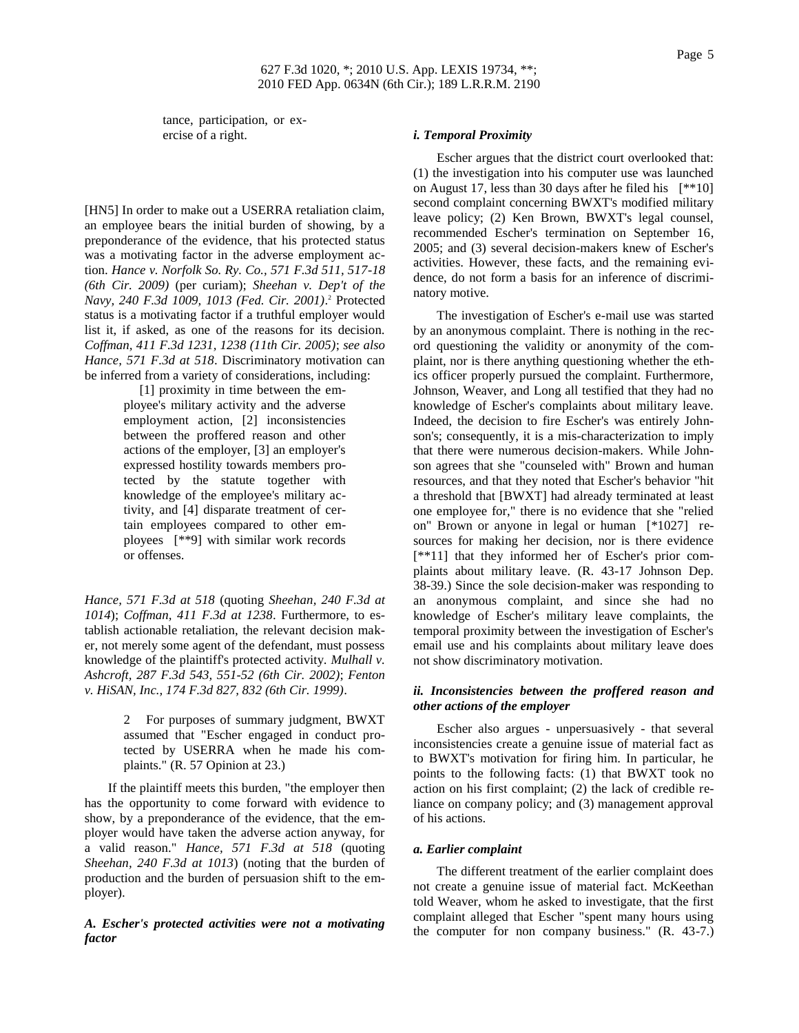# 627 F.3d 1020, \*; 2010 U.S. App. LEXIS 19734, \*\*; 2010 FED App. 0634N (6th Cir.); 189 L.R.R.M. 2190

tance, participation, or exercise of a right.

[HN5] In order to make out a USERRA retaliation claim, an employee bears the initial burden of showing, by a preponderance of the evidence, that his protected status was a motivating factor in the adverse employment action. *Hance v. Norfolk So. Ry. Co., 571 F.3d 511, 517-18 (6th Cir. 2009)* (per curiam); *Sheehan v. Dep't of the Navy, 240 F.3d 1009, 1013 (Fed. Cir. 2001)*. <sup>2</sup> Protected status is a motivating factor if a truthful employer would list it, if asked, as one of the reasons for its decision. *Coffman, 411 F.3d 1231, 1238 (11th Cir. 2005)*; *see also Hance, 571 F.3d at 518*. Discriminatory motivation can be inferred from a variety of considerations, including:

> [1] proximity in time between the employee's military activity and the adverse employment action, [2] inconsistencies between the proffered reason and other actions of the employer, [3] an employer's expressed hostility towards members protected by the statute together with knowledge of the employee's military activity, and [4] disparate treatment of certain employees compared to other employees [\*\*9] with similar work records or offenses.

*Hance, 571 F.3d at 518* (quoting *Sheehan, 240 F.3d at 1014*); *Coffman, 411 F.3d at 1238*. Furthermore, to establish actionable retaliation, the relevant decision maker, not merely some agent of the defendant, must possess knowledge of the plaintiff's protected activity. *Mulhall v. Ashcroft, 287 F.3d 543, 551-52 (6th Cir. 2002)*; *Fenton v. HiSAN, Inc., 174 F.3d 827, 832 (6th Cir. 1999)*.

> 2 For purposes of summary judgment, BWXT assumed that "Escher engaged in conduct protected by USERRA when he made his complaints." (R. 57 Opinion at 23.)

If the plaintiff meets this burden, "the employer then has the opportunity to come forward with evidence to show, by a preponderance of the evidence, that the employer would have taken the adverse action anyway, for a valid reason." *Hance, 571 F.3d at 518* (quoting *Sheehan, 240 F.3d at 1013*) (noting that the burden of production and the burden of persuasion shift to the employer).

*A. Escher's protected activities were not a motivating factor*

### *i. Temporal Proximity*

Escher argues that the district court overlooked that: (1) the investigation into his computer use was launched on August 17, less than 30 days after he filed his [\*\*10] second complaint concerning BWXT's modified military leave policy; (2) Ken Brown, BWXT's legal counsel, recommended Escher's termination on September 16, 2005; and (3) several decision-makers knew of Escher's activities. However, these facts, and the remaining evidence, do not form a basis for an inference of discriminatory motive.

The investigation of Escher's e-mail use was started by an anonymous complaint. There is nothing in the record questioning the validity or anonymity of the complaint, nor is there anything questioning whether the ethics officer properly pursued the complaint. Furthermore, Johnson, Weaver, and Long all testified that they had no knowledge of Escher's complaints about military leave. Indeed, the decision to fire Escher's was entirely Johnson's; consequently, it is a mis-characterization to imply that there were numerous decision-makers. While Johnson agrees that she "counseled with" Brown and human resources, and that they noted that Escher's behavior "hit a threshold that [BWXT] had already terminated at least one employee for," there is no evidence that she "relied on" Brown or anyone in legal or human [\*1027] resources for making her decision, nor is there evidence [\*\*11] that they informed her of Escher's prior complaints about military leave. (R. 43-17 Johnson Dep. 38-39.) Since the sole decision-maker was responding to an anonymous complaint, and since she had no knowledge of Escher's military leave complaints, the temporal proximity between the investigation of Escher's email use and his complaints about military leave does not show discriminatory motivation.

### *ii. Inconsistencies between the proffered reason and other actions of the employer*

Escher also argues - unpersuasively - that several inconsistencies create a genuine issue of material fact as to BWXT's motivation for firing him. In particular, he points to the following facts: (1) that BWXT took no action on his first complaint; (2) the lack of credible reliance on company policy; and (3) management approval of his actions.

### *a. Earlier complaint*

The different treatment of the earlier complaint does not create a genuine issue of material fact. McKeethan told Weaver, whom he asked to investigate, that the first complaint alleged that Escher "spent many hours using the computer for non company business." (R. 43-7.)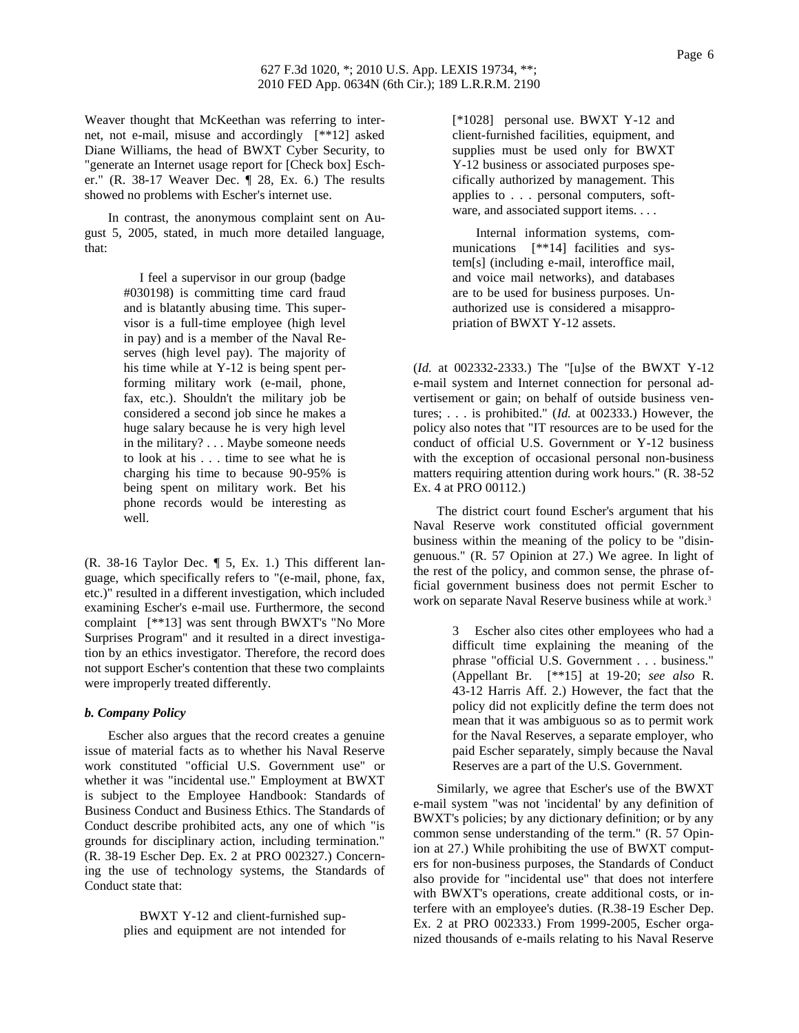Weaver thought that McKeethan was referring to internet, not e-mail, misuse and accordingly [\*\*12] asked Diane Williams, the head of BWXT Cyber Security, to "generate an Internet usage report for [Check box] Escher." (R. 38-17 Weaver Dec. ¶ 28, Ex. 6.) The results showed no problems with Escher's internet use.

In contrast, the anonymous complaint sent on August 5, 2005, stated, in much more detailed language, that:

> I feel a supervisor in our group (badge #030198) is committing time card fraud and is blatantly abusing time. This supervisor is a full-time employee (high level in pay) and is a member of the Naval Reserves (high level pay). The majority of his time while at Y-12 is being spent performing military work (e-mail, phone, fax, etc.). Shouldn't the military job be considered a second job since he makes a huge salary because he is very high level in the military? . . . Maybe someone needs to look at his . . . time to see what he is charging his time to because 90-95% is being spent on military work. Bet his phone records would be interesting as well.

(R. 38-16 Taylor Dec. ¶ 5, Ex. 1.) This different language, which specifically refers to "(e-mail, phone, fax, etc.)" resulted in a different investigation, which included examining Escher's e-mail use. Furthermore, the second complaint [\*\*13] was sent through BWXT's "No More Surprises Program" and it resulted in a direct investigation by an ethics investigator. Therefore, the record does not support Escher's contention that these two complaints were improperly treated differently.

# *b. Company Policy*

Escher also argues that the record creates a genuine issue of material facts as to whether his Naval Reserve work constituted "official U.S. Government use" or whether it was "incidental use." Employment at BWXT is subject to the Employee Handbook: Standards of Business Conduct and Business Ethics. The Standards of Conduct describe prohibited acts, any one of which "is grounds for disciplinary action, including termination." (R. 38-19 Escher Dep. Ex. 2 at PRO 002327.) Concerning the use of technology systems, the Standards of Conduct state that:

> BWXT Y-12 and client-furnished supplies and equipment are not intended for

[\*1028] personal use. BWXT Y-12 and client-furnished facilities, equipment, and supplies must be used only for BWXT Y-12 business or associated purposes specifically authorized by management. This applies to . . . personal computers, software, and associated support items. . . .

Internal information systems, communications [\*\*14] facilities and system[s] (including e-mail, interoffice mail, and voice mail networks), and databases are to be used for business purposes. Unauthorized use is considered a misappropriation of BWXT Y-12 assets.

(*Id.* at 002332-2333.) The "[u]se of the BWXT Y-12 e-mail system and Internet connection for personal advertisement or gain; on behalf of outside business ventures; . . . is prohibited." (*Id.* at 002333.) However, the policy also notes that "IT resources are to be used for the conduct of official U.S. Government or Y-12 business with the exception of occasional personal non-business matters requiring attention during work hours." (R. 38-52 Ex. 4 at PRO 00112.)

The district court found Escher's argument that his Naval Reserve work constituted official government business within the meaning of the policy to be "disingenuous." (R. 57 Opinion at 27.) We agree. In light of the rest of the policy, and common sense, the phrase official government business does not permit Escher to work on separate Naval Reserve business while at work.<sup>3</sup>

> 3 Escher also cites other employees who had a difficult time explaining the meaning of the phrase "official U.S. Government . . . business." (Appellant Br. [\*\*15] at 19-20; *see also* R. 43-12 Harris Aff. 2.) However, the fact that the policy did not explicitly define the term does not mean that it was ambiguous so as to permit work for the Naval Reserves, a separate employer, who paid Escher separately, simply because the Naval Reserves are a part of the U.S. Government.

Similarly, we agree that Escher's use of the BWXT e-mail system "was not 'incidental' by any definition of BWXT's policies; by any dictionary definition; or by any common sense understanding of the term." (R. 57 Opinion at 27.) While prohibiting the use of BWXT computers for non-business purposes, the Standards of Conduct also provide for "incidental use" that does not interfere with BWXT's operations, create additional costs, or interfere with an employee's duties. (R.38-19 Escher Dep. Ex. 2 at PRO 002333.) From 1999-2005, Escher organized thousands of e-mails relating to his Naval Reserve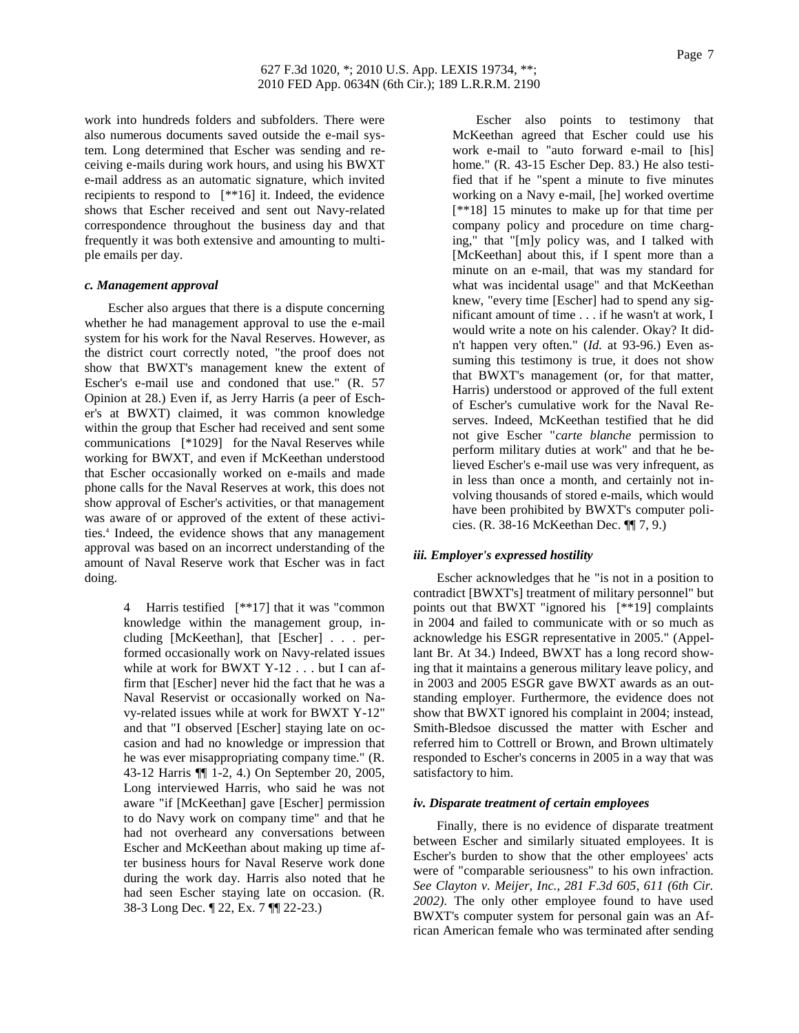work into hundreds folders and subfolders. There were also numerous documents saved outside the e-mail system. Long determined that Escher was sending and receiving e-mails during work hours, and using his BWXT e-mail address as an automatic signature, which invited recipients to respond to [\*\*16] it. Indeed, the evidence shows that Escher received and sent out Navy-related correspondence throughout the business day and that frequently it was both extensive and amounting to multiple emails per day.

## *c. Management approval*

Escher also argues that there is a dispute concerning whether he had management approval to use the e-mail system for his work for the Naval Reserves. However, as the district court correctly noted, "the proof does not show that BWXT's management knew the extent of Escher's e-mail use and condoned that use." (R. 57 Opinion at 28.) Even if, as Jerry Harris (a peer of Escher's at BWXT) claimed, it was common knowledge within the group that Escher had received and sent some communications [\*1029] for the Naval Reserves while working for BWXT, and even if McKeethan understood that Escher occasionally worked on e-mails and made phone calls for the Naval Reserves at work, this does not show approval of Escher's activities, or that management was aware of or approved of the extent of these activities.<sup>4</sup> Indeed, the evidence shows that any management approval was based on an incorrect understanding of the amount of Naval Reserve work that Escher was in fact doing.

> 4 Harris testified [\*\*17] that it was "common knowledge within the management group, including [McKeethan], that [Escher] . . . performed occasionally work on Navy-related issues while at work for BWXT Y-12 . . . but I can affirm that [Escher] never hid the fact that he was a Naval Reservist or occasionally worked on Navy-related issues while at work for BWXT Y-12" and that "I observed [Escher] staying late on occasion and had no knowledge or impression that he was ever misappropriating company time." (R. 43-12 Harris ¶¶ 1-2, 4.) On September 20, 2005, Long interviewed Harris, who said he was not aware "if [McKeethan] gave [Escher] permission to do Navy work on company time" and that he had not overheard any conversations between Escher and McKeethan about making up time after business hours for Naval Reserve work done during the work day. Harris also noted that he had seen Escher staying late on occasion. (R. 38-3 Long Dec. ¶ 22, Ex. 7 ¶¶ 22-23.)

Escher also points to testimony that McKeethan agreed that Escher could use his work e-mail to "auto forward e-mail to [his] home." (R. 43-15 Escher Dep. 83.) He also testified that if he "spent a minute to five minutes working on a Navy e-mail, [he] worked overtime [\*\*18] 15 minutes to make up for that time per company policy and procedure on time charging," that "[m]y policy was, and I talked with [McKeethan] about this, if I spent more than a minute on an e-mail, that was my standard for what was incidental usage" and that McKeethan knew, "every time [Escher] had to spend any significant amount of time . . . if he wasn't at work, I would write a note on his calender. Okay? It didn't happen very often." (*Id.* at 93-96.) Even assuming this testimony is true, it does not show that BWXT's management (or, for that matter, Harris) understood or approved of the full extent of Escher's cumulative work for the Naval Reserves. Indeed, McKeethan testified that he did not give Escher "*carte blanche* permission to perform military duties at work" and that he believed Escher's e-mail use was very infrequent, as in less than once a month, and certainly not involving thousands of stored e-mails, which would have been prohibited by BWXT's computer policies. (R. 38-16 McKeethan Dec. ¶¶ 7, 9.)

### *iii. Employer's expressed hostility*

Escher acknowledges that he "is not in a position to contradict [BWXT's] treatment of military personnel" but points out that BWXT "ignored his [\*\*19] complaints in 2004 and failed to communicate with or so much as acknowledge his ESGR representative in 2005." (Appellant Br. At 34.) Indeed, BWXT has a long record showing that it maintains a generous military leave policy, and in 2003 and 2005 ESGR gave BWXT awards as an outstanding employer. Furthermore, the evidence does not show that BWXT ignored his complaint in 2004; instead, Smith-Bledsoe discussed the matter with Escher and referred him to Cottrell or Brown, and Brown ultimately responded to Escher's concerns in 2005 in a way that was satisfactory to him.

### *iv. Disparate treatment of certain employees*

Finally, there is no evidence of disparate treatment between Escher and similarly situated employees. It is Escher's burden to show that the other employees' acts were of "comparable seriousness" to his own infraction. *See Clayton v. Meijer, Inc., 281 F.3d 605, 611 (6th Cir. 2002)*. The only other employee found to have used BWXT's computer system for personal gain was an African American female who was terminated after sending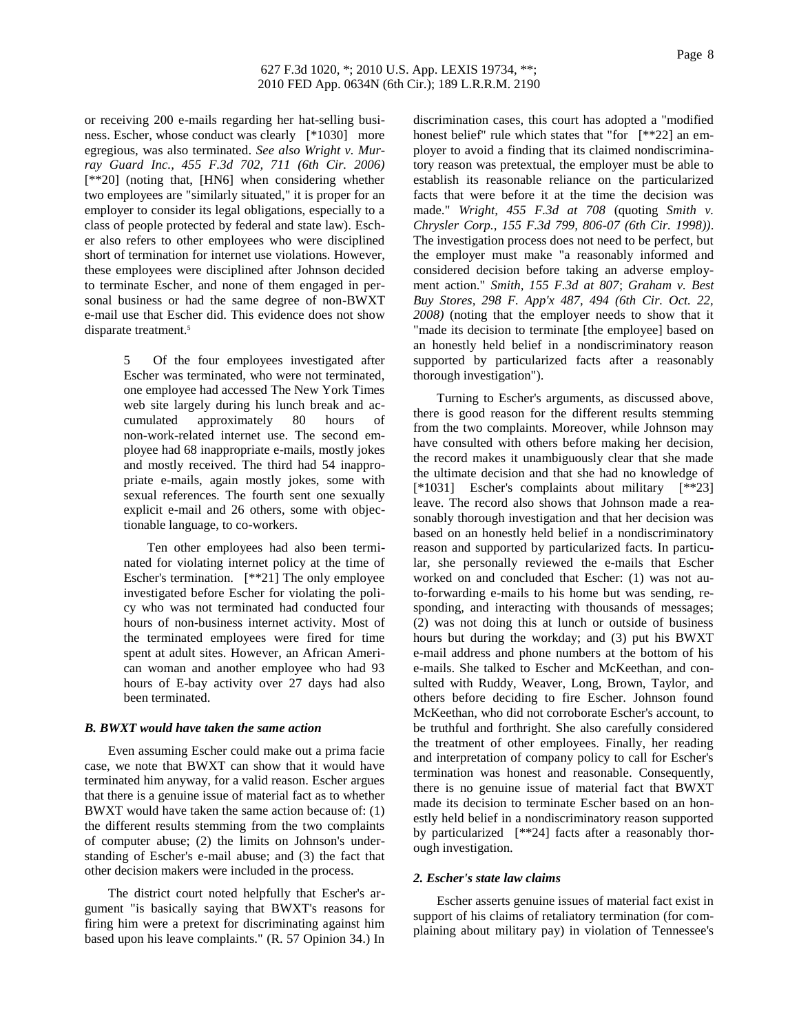or receiving 200 e-mails regarding her hat-selling business. Escher, whose conduct was clearly [\*1030] more egregious, was also terminated. *See also Wright v. Murray Guard Inc., 455 F.3d 702, 711 (6th Cir. 2006)* [\*\*20] (noting that, [HN6] when considering whether two employees are "similarly situated," it is proper for an employer to consider its legal obligations, especially to a class of people protected by federal and state law). Escher also refers to other employees who were disciplined short of termination for internet use violations. However, these employees were disciplined after Johnson decided to terminate Escher, and none of them engaged in personal business or had the same degree of non-BWXT e-mail use that Escher did. This evidence does not show disparate treatment.<sup>5</sup>

> 5 Of the four employees investigated after Escher was terminated, who were not terminated, one employee had accessed The New York Times web site largely during his lunch break and accumulated approximately 80 hours of non-work-related internet use. The second employee had 68 inappropriate e-mails, mostly jokes and mostly received. The third had 54 inappropriate e-mails, again mostly jokes, some with sexual references. The fourth sent one sexually explicit e-mail and 26 others, some with objectionable language, to co-workers.

> Ten other employees had also been terminated for violating internet policy at the time of Escher's termination. [\*\*21] The only employee investigated before Escher for violating the policy who was not terminated had conducted four hours of non-business internet activity. Most of the terminated employees were fired for time spent at adult sites. However, an African American woman and another employee who had 93 hours of E-bay activity over 27 days had also been terminated.

### *B. BWXT would have taken the same action*

Even assuming Escher could make out a prima facie case, we note that BWXT can show that it would have terminated him anyway, for a valid reason. Escher argues that there is a genuine issue of material fact as to whether BWXT would have taken the same action because of: (1) the different results stemming from the two complaints of computer abuse; (2) the limits on Johnson's understanding of Escher's e-mail abuse; and (3) the fact that other decision makers were included in the process.

The district court noted helpfully that Escher's argument "is basically saying that BWXT's reasons for firing him were a pretext for discriminating against him based upon his leave complaints." (R. 57 Opinion 34.) In discrimination cases, this court has adopted a "modified honest belief" rule which states that "for [\*\*22] an employer to avoid a finding that its claimed nondiscriminatory reason was pretextual, the employer must be able to establish its reasonable reliance on the particularized facts that were before it at the time the decision was made." *Wright, 455 F.3d at 708* (quoting *Smith v. Chrysler Corp., 155 F.3d 799, 806-07 (6th Cir. 1998))*. The investigation process does not need to be perfect, but the employer must make "a reasonably informed and considered decision before taking an adverse employment action." *Smith, 155 F.3d at 807*; *Graham v. Best Buy Stores, 298 F. App'x 487, 494 (6th Cir. Oct. 22, 2008)* (noting that the employer needs to show that it "made its decision to terminate [the employee] based on an honestly held belief in a nondiscriminatory reason supported by particularized facts after a reasonably thorough investigation").

Turning to Escher's arguments, as discussed above, there is good reason for the different results stemming from the two complaints. Moreover, while Johnson may have consulted with others before making her decision, the record makes it unambiguously clear that she made the ultimate decision and that she had no knowledge of [\*1031] Escher's complaints about military [\*\*23] leave. The record also shows that Johnson made a reasonably thorough investigation and that her decision was based on an honestly held belief in a nondiscriminatory reason and supported by particularized facts. In particular, she personally reviewed the e-mails that Escher worked on and concluded that Escher: (1) was not auto-forwarding e-mails to his home but was sending, responding, and interacting with thousands of messages; (2) was not doing this at lunch or outside of business hours but during the workday; and (3) put his BWXT e-mail address and phone numbers at the bottom of his e-mails. She talked to Escher and McKeethan, and consulted with Ruddy, Weaver, Long, Brown, Taylor, and others before deciding to fire Escher. Johnson found McKeethan, who did not corroborate Escher's account, to be truthful and forthright. She also carefully considered the treatment of other employees. Finally, her reading and interpretation of company policy to call for Escher's termination was honest and reasonable. Consequently, there is no genuine issue of material fact that BWXT made its decision to terminate Escher based on an honestly held belief in a nondiscriminatory reason supported by particularized [\*\*24] facts after a reasonably thorough investigation.

#### *2. Escher's state law claims*

Escher asserts genuine issues of material fact exist in support of his claims of retaliatory termination (for complaining about military pay) in violation of Tennessee's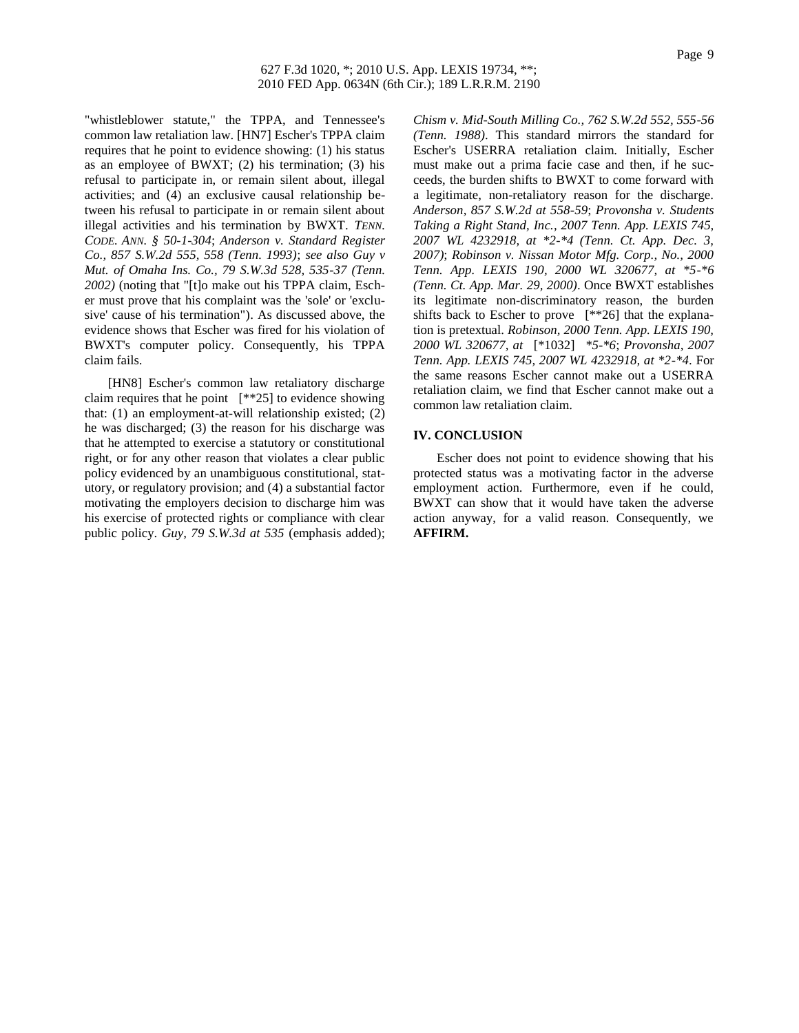"whistleblower statute," the TPPA, and Tennessee's common law retaliation law. [HN7] Escher's TPPA claim requires that he point to evidence showing: (1) his status as an employee of BWXT; (2) his termination; (3) his refusal to participate in, or remain silent about, illegal activities; and (4) an exclusive causal relationship between his refusal to participate in or remain silent about illegal activities and his termination by BWXT. *TENN. CODE. ANN. § 50-1-304*; *Anderson v. Standard Register Co., 857 S.W.2d 555, 558 (Tenn. 1993)*; *see also Guy v Mut. of Omaha Ins. Co., 79 S.W.3d 528, 535-37 (Tenn. 2002)* (noting that "[t]o make out his TPPA claim, Escher must prove that his complaint was the 'sole' or 'exclusive' cause of his termination"). As discussed above, the evidence shows that Escher was fired for his violation of BWXT's computer policy. Consequently, his TPPA claim fails.

[HN8] Escher's common law retaliatory discharge claim requires that he point  $[**25]$  to evidence showing that: (1) an employment-at-will relationship existed; (2) he was discharged; (3) the reason for his discharge was that he attempted to exercise a statutory or constitutional right, or for any other reason that violates a clear public policy evidenced by an unambiguous constitutional, statutory, or regulatory provision; and (4) a substantial factor motivating the employers decision to discharge him was his exercise of protected rights or compliance with clear public policy. *Guy, 79 S.W.3d at 535* (emphasis added);

*Chism v. Mid-South Milling Co., 762 S.W.2d 552, 555-56 (Tenn. 1988)*. This standard mirrors the standard for Escher's USERRA retaliation claim. Initially, Escher must make out a prima facie case and then, if he succeeds, the burden shifts to BWXT to come forward with a legitimate, non-retaliatory reason for the discharge. *Anderson, 857 S.W.2d at 558-59*; *Provonsha v. Students Taking a Right Stand, Inc., 2007 Tenn. App. LEXIS 745, 2007 WL 4232918, at \*2-\*4 (Tenn. Ct. App. Dec. 3, 2007)*; *Robinson v. Nissan Motor Mfg. Corp., No., 2000 Tenn. App. LEXIS 190, 2000 WL 320677, at \*5-\*6 (Tenn. Ct. App. Mar. 29, 2000)*. Once BWXT establishes its legitimate non-discriminatory reason, the burden shifts back to Escher to prove [\*\*26] that the explanation is pretextual. *Robinson, 2000 Tenn. App. LEXIS 190, 2000 WL 320677, at* [\*1032] *\*5-\*6*; *Provonsha, 2007 Tenn. App. LEXIS 745, 2007 WL 4232918, at \*2-\*4*. For the same reasons Escher cannot make out a USERRA retaliation claim, we find that Escher cannot make out a common law retaliation claim.

### **IV. CONCLUSION**

Escher does not point to evidence showing that his protected status was a motivating factor in the adverse employment action. Furthermore, even if he could, BWXT can show that it would have taken the adverse action anyway, for a valid reason. Consequently, we **AFFIRM.**